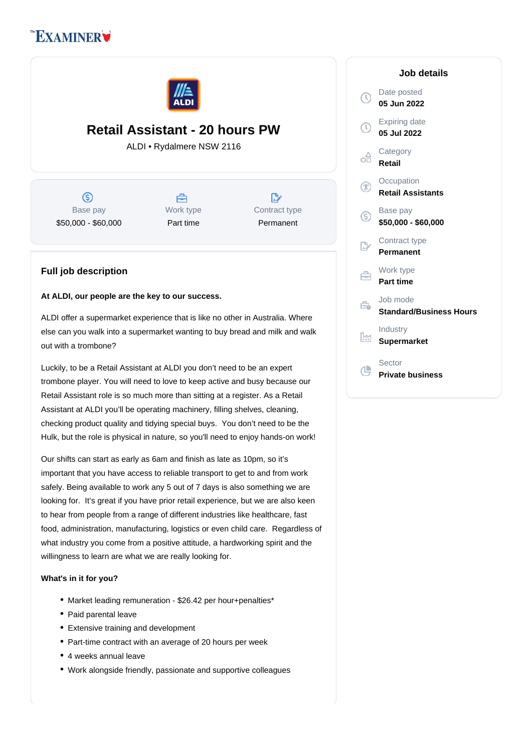# **EXAMINER**



## **Retail Assistant - 20 hours PW**

ALDI • Rydalmere NSW 2116

(S) Base pay \$50,000 - \$60,000



 $\mathbb{R}^{\cdot}$ Contract type Permanent

### **Full job description**

#### **At ALDI, our people are the key to our success.**

ALDI offer a supermarket experience that is like no other in Australia. Where else can you walk into a supermarket wanting to buy bread and milk and walk out with a trombone?

Luckily, to be a Retail Assistant at ALDI you don't need to be an expert trombone player. You will need to love to keep active and busy because our Retail Assistant role is so much more than sitting at a register. As a Retail Assistant at ALDI you'll be operating machinery, filling shelves, cleaning, checking product quality and tidying special buys. You don't need to be the Hulk, but the role is physical in nature, so you'll need to enjoy hands-on work!

Our shifts can start as early as 6am and finish as late as 10pm, so it's important that you have access to reliable transport to get to and from work safely. Being available to work any 5 out of 7 days is also something we are looking for. It's great if you have prior retail experience, but we are also keen to hear from people from a range of different industries like healthcare, fast food, administration, manufacturing, logistics or even child care. Regardless of what industry you come from a positive attitude, a hardworking spirit and the willingness to learn are what we are really looking for.

#### **What's in it for you?**

- Market leading remuneration \$26.42 per hour+penalties\*
- Paid parental leave
- Extensive training and development
- Part-time contract with an average of 20 hours per week
- 4 weeks annual leave
- Work alongside friendly, passionate and supportive colleagues

#### **Job details** Date posted  $\mathbb{C}$ **05 Jun 2022** Expiring date  $\bigcap$ **05 Jul 2022 Category** œ **Retail Occupation**  $\alpha$ **Retail Assistants** Base pay (S) **\$50,000 - \$60,000** Contract type **Permanent** Work type 户 **Part time** Job mode e. **Standard/Business Hours** Industry  $\frac{1}{2}$ **Supermarket** Sector 心 **Private business**